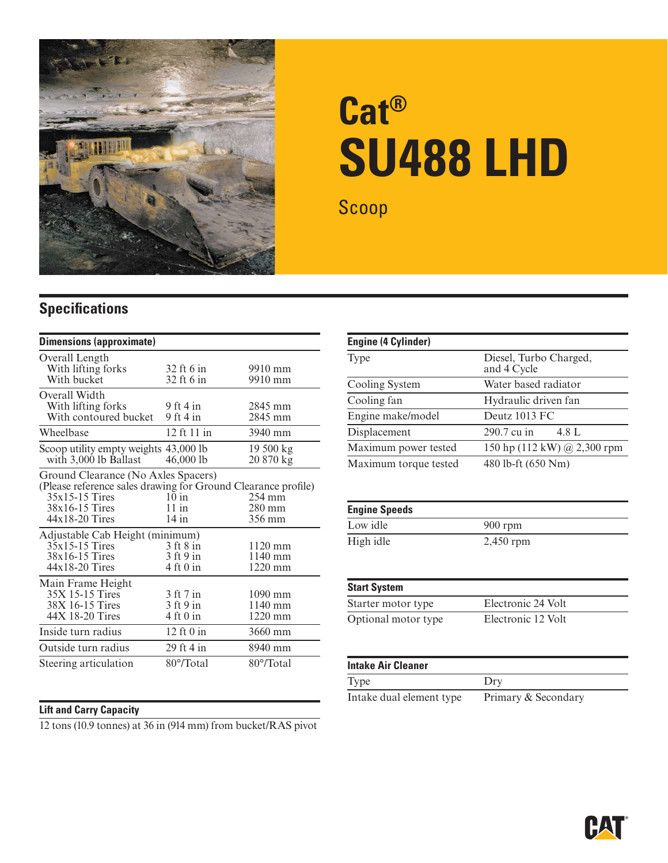

# **Cat® SU488 LHD**

Scoop

### **Specifications**

| <b>Dimensions (approximate)</b>                                                                                                                                |                                                         |                                                |
|----------------------------------------------------------------------------------------------------------------------------------------------------------------|---------------------------------------------------------|------------------------------------------------|
| Overall Length<br>With lifting forks<br>With bucket                                                                                                            | 32 ft 6 in<br>32 ft 6 in                                | 9910 mm<br>9910 mm                             |
| Overall Width<br>With lifting forks<br>With contoured bucket                                                                                                   | 9 ft 4 in<br>$9$ ft 4 in                                | 2845 mm<br>2845 mm                             |
| Wheelbase                                                                                                                                                      | 12 ft 11 in                                             | 3940 mm                                        |
| Scoop utility empty weights 43,000 lb<br>with 3,000 lb Ballast                                                                                                 | 46,000 lb                                               | 19 500 kg<br>20 870 kg                         |
| Ground Clearance (No Axles Spacers)<br>(Please reference sales drawing for Ground Clearance profile)<br>$35x15-15$ Tires<br>38x16-15 Tires<br>$44x18-20$ Tires | 10 in<br>11 in<br>$14$ in                               | $254 \text{ mm}$<br>$280 \text{ mm}$<br>356 mm |
| Adjustable Cab Height (minimum)<br>35x15-15 Tires<br>38x16-15 Tires<br>44x18-20 Tires                                                                          | 3 ft 8 in<br>$3$ ft 9 in<br>4 ft 0 in                   | $1120$ mm<br>$1140$ mm<br>$1220$ mm            |
| Main Frame Height<br>35X 15-15 Tires<br>38X 16-15 Tires<br>44X 18-20 Tires                                                                                     | 3 ft 7 in<br>$3$ ft 9 in<br>$4 \text{ ft} 0 \text{ in}$ | $1090$ mm<br>$1140$ mm<br>$1220$ mm            |
| Inside turn radius                                                                                                                                             | $12$ ft $0$ in                                          | 3660 mm                                        |
| Outside turn radius                                                                                                                                            | 29 ft 4 in                                              | 8940 mm                                        |
| Steering articulation                                                                                                                                          | 80°/Total                                               | 80°/Total                                      |

#### **Lift and Carry Capacity**

12 tons (10.9 tonnes) at 36 in (914 mm) from bucket/RAS pivot

| Engine (4 Cylinder)   |                                       |
|-----------------------|---------------------------------------|
| <b>Type</b>           | Diesel, Turbo Charged,<br>and 4 Cycle |
| Cooling System        | Water based radiator                  |
| Cooling fan           | Hydraulic driven fan                  |
| Engine make/model     | Deutz 1013 FC                         |
| Displacement          | 290.7 cu in<br>4.8 L                  |
| Maximum power tested  | 150 hp (112 kW) @ 2,300 rpm           |
| Maximum torque tested | 480 lb-ft (650 Nm)                    |

| <b>Engine Speeds</b> |             |
|----------------------|-------------|
| Low idle             | $900$ rpm   |
| High idle            | $2,450$ rpm |

| <b>Start System</b> |                    |
|---------------------|--------------------|
| Starter motor type  | Electronic 24 Volt |
| Optional motor type | Electronic 12 Volt |

#### **Intake Air Cleaner**

Type Dry Intake dual element type Primary & Secondary

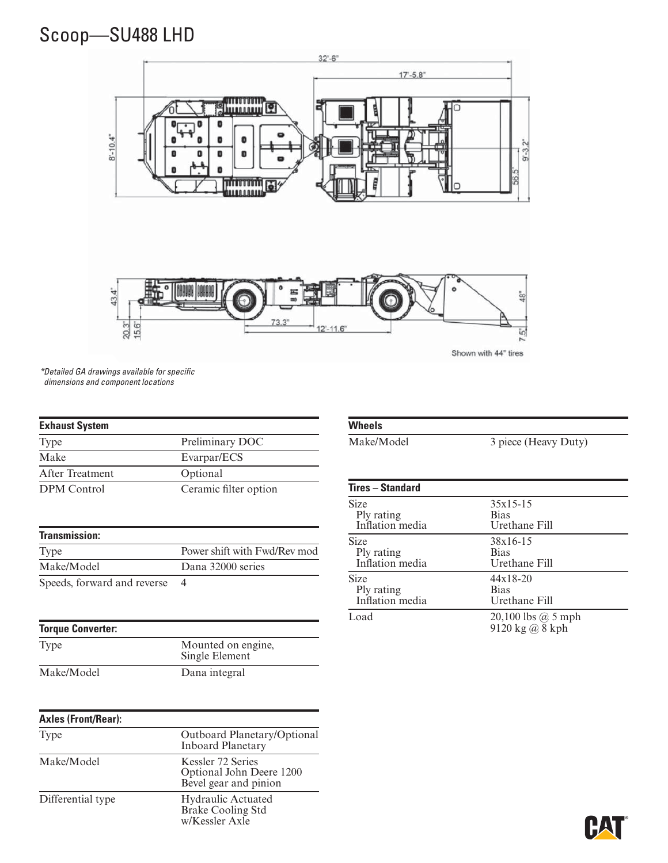## Scoop—SU488 LHD



\* Detailed GA drawings available for specifi c dimensions and component locations

| <b>Exhaust System</b> |                              |
|-----------------------|------------------------------|
| Type                  | Preliminary DOC              |
| Make                  | Evarpar/ECS                  |
| After Treatment       | Optional                     |
| <b>DPM</b> Control    | Ceramic filter option        |
| <b>Transmission:</b>  |                              |
| Type                  | Power shift with Fwd/Rev mod |

| Type                        | Power shift with Fwd/Rev mod |
|-----------------------------|------------------------------|
| Make/Model                  | Dana 32000 series            |
| Speeds, forward and reverse |                              |

#### **Torque Converter:**

#### Type Mounted on engine, Single Element Make/Model Dana integral

#### **Axles (Front/Rear):** Type Outboard Planetary/Optional Inboard Planetary Make/Model Kessler 72 Series Optional John Deere 1200 Bevel gear and pinion Differential type Hydraulic Actuated Brake Cooling Std w/Kessler Axle

#### **Wheels**

Make/Model 3 piece (Heavy Duty)

| $35x15-15$<br><b>Bias</b><br>Urethane Fill |
|--------------------------------------------|
| 38x16-15<br><b>Bias</b><br>Urethane Fill   |
| $44x18-20$<br><b>Bias</b><br>Urethane Fill |
| 20,100 lbs $@$ 5 mph<br>9120 kg @ 8 kph    |
|                                            |

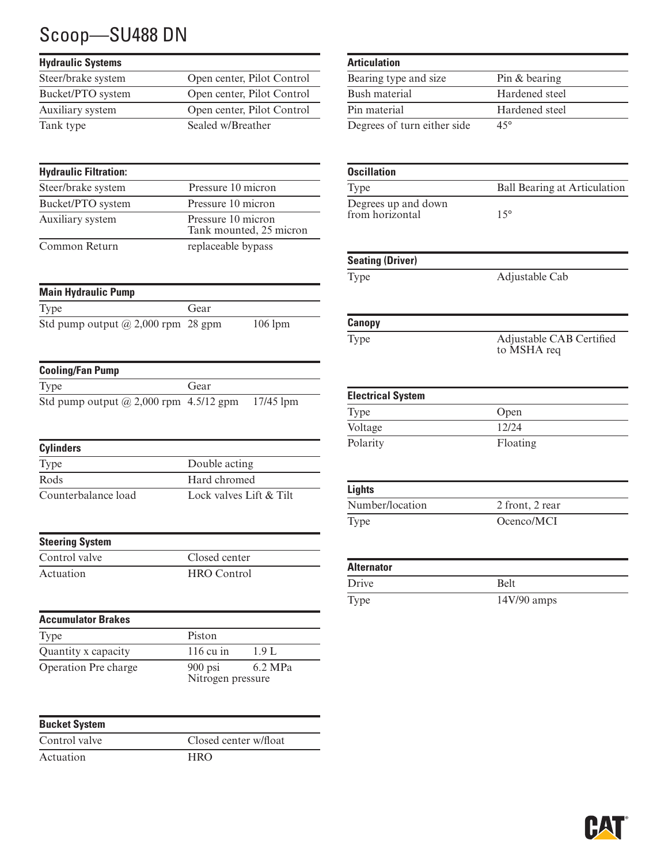# Scoop—SU488 DN

| <b>Hydraulic Systems</b> |                            |
|--------------------------|----------------------------|
| Steer/brake system       | Open center, Pilot Control |
| Bucket/PTO system        | Open center, Pilot Control |
| Auxiliary system         | Open center, Pilot Control |
| Tank type                | Sealed w/Breather          |

| <b>Hydraulic Filtration:</b> |                                               |
|------------------------------|-----------------------------------------------|
| Steer/brake system           | Pressure 10 micron                            |
| Bucket/PTO system            | Pressure 10 micron                            |
| Auxiliary system             | Pressure 10 micron<br>Tank mounted, 25 micron |
| Common Return                | replaceable bypass                            |

| <b>Main Hydraulic Pump</b>                |      |           |
|-------------------------------------------|------|-----------|
| <b>Type</b>                               | Gear |           |
| Std pump output $\omega$ 2,000 rpm 28 gpm |      | $106$ lpm |

| <b>Cooling/Fan Pump</b>                       |      |             |
|-----------------------------------------------|------|-------------|
| Type                                          | Gear |             |
| Std pump output $\omega$ 2,000 rpm 4.5/12 gpm |      | $17/45$ lpm |

| <b>Cylinders</b>    |                         |
|---------------------|-------------------------|
| <b>Type</b>         | Double acting           |
| Rods                | Hard chromed            |
| Counterbalance load | Lock valves Lift & Tilt |

| <b>Steering System</b> |                    |
|------------------------|--------------------|
| Control valve          | Closed center      |
| Actuation              | <b>HRO</b> Control |

| <b>Accumulator Brakes</b> |                                |         |
|---------------------------|--------------------------------|---------|
| Type                      | Piston                         |         |
| Quantity x capacity       | $116 \text{ cu}$ in            | 1.9 L   |
| Operation Pre charge      | $900$ psi<br>Nitrogen pressure | 6.2 MPa |

| <b>Bucket System</b> |                       |
|----------------------|-----------------------|
| Control valve        | Closed center w/float |
| Actuation            | HRO                   |

| <b>Articulation</b>         |                |
|-----------------------------|----------------|
| Bearing type and size       | Pin & bearing  |
| Bush material               | Hardened steel |
| Pin material                | Hardened steel |
| Degrees of turn either side | $45^{\circ}$   |

| <b>Oscillation</b>                     |                                         |
|----------------------------------------|-----------------------------------------|
| Type                                   | <b>Ball Bearing at Articulation</b>     |
| Degrees up and down<br>from horizontal | $15^{\circ}$                            |
| <b>Seating (Driver)</b>                |                                         |
| Type                                   | Adjustable Cab                          |
| Canopy                                 |                                         |
| Type                                   | Adjustable CAB Certified<br>to MSHA req |
| <b>Electrical System</b>               |                                         |
| Type                                   | Open                                    |
| Voltage                                | 12/24                                   |
| Polarity                               | Floating                                |
| <b>Lights</b>                          |                                         |
| Number/location                        | 2 front, 2 rear                         |
| Type                                   | Ocenco/MCI                              |
| <b>Alternator</b>                      |                                         |
| Drive                                  | Belt                                    |
| Type                                   | 14V/90 amps                             |